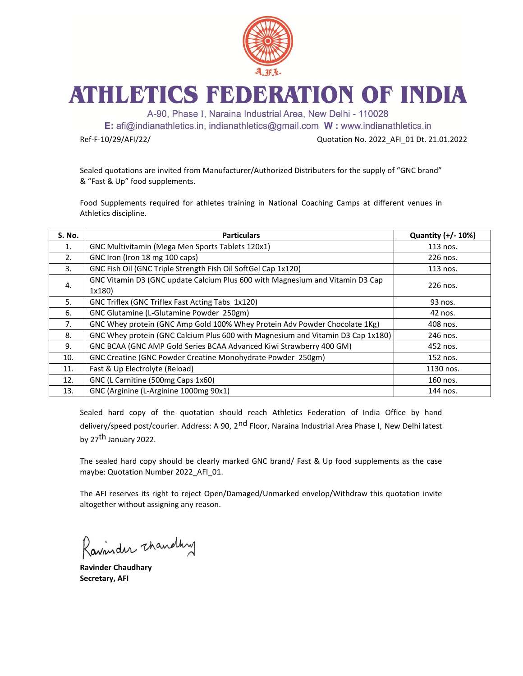

## ATHLETICS FEDERATION OF INDIA

A-90, Phase I, Naraina Industrial Area, New Delhi - 110028

E: afi@indianathletics.in, indianathletics@gmail.com W: www.indianathletics.in

Ref-F-10/29/AFI/22/ Quotation No. 2022\_AFI\_01 Dt. 21.01.2022

Sealed quotations are invited from Manufacturer/Authorized Distributers for the supply of "GNC brand" & "Fast & Up" food supplements.

Food Supplements required for athletes training in National Coaching Camps at different venues in Athletics discipline.

| <b>S. No.</b> | <b>Particulars</b>                                                                      | Quantity (+/- 10%) |
|---------------|-----------------------------------------------------------------------------------------|--------------------|
| 1.            | GNC Multivitamin (Mega Men Sports Tablets 120x1)                                        | 113 nos.           |
| 2.            | GNC Iron (Iron 18 mg 100 caps)                                                          | 226 nos.           |
| 3.            | GNC Fish Oil (GNC Triple Strength Fish Oil SoftGel Cap 1x120)                           | 113 nos.           |
| 4.            | GNC Vitamin D3 (GNC update Calcium Plus 600 with Magnesium and Vitamin D3 Cap<br>1x180) | 226 nos.           |
| 5.            | GNC Triflex (GNC Triflex Fast Acting Tabs 1x120)                                        | 93 nos.            |
| 6.            | GNC Glutamine (L-Glutamine Powder 250gm)                                                | 42 nos.            |
| 7.            | GNC Whey protein (GNC Amp Gold 100% Whey Protein Adv Powder Chocolate 1Kg)              | 408 nos.           |
| 8.            | GNC Whey protein (GNC Calcium Plus 600 with Magnesium and Vitamin D3 Cap 1x180)         | 246 nos.           |
| 9.            | GNC BCAA (GNC AMP Gold Series BCAA Advanced Kiwi Strawberry 400 GM)                     | 452 nos.           |
| 10.           | GNC Creatine (GNC Powder Creatine Monohydrate Powder 250gm)                             | 152 nos.           |
| 11.           | Fast & Up Electrolyte (Reload)                                                          | 1130 nos.          |
| 12.           | GNC (L Carnitine (500mg Caps 1x60)                                                      | 160 nos.           |
| 13.           | GNC (Arginine (L-Arginine 1000mg 90x1)                                                  | 144 nos.           |

Sealed hard copy of the quotation should reach Athletics Federation of India Office by hand delivery/speed post/courier. Address: A 90, 2<sup>nd</sup> Floor, Naraina Industrial Area Phase I, New Delhi latest by 27<sup>th</sup> January 2022.

The sealed hard copy should be clearly marked GNC brand/ Fast & Up food supplements as the case maybe: Quotation Number 2022\_AFI\_01.

The AFI reserves its right to reject Open/Damaged/Unmarked envelop/Withdraw this quotation invite altogether without assigning any reason.

Ravinder thandly

**Ravinder Chaudhary Secretary, AFI**